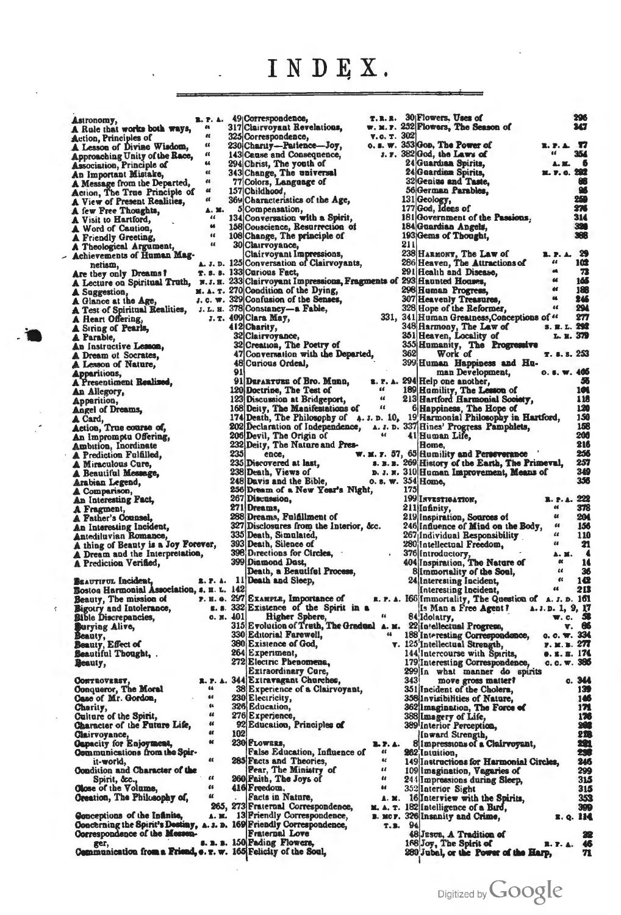## INDEX.

Astronomy,<br>A Rule that works both ways, A Kue that works both ways,<br>Atlicho, Principle of<br>A Lesson of Divine Wisdom,<br>Approaching Unity of the Race,<br>Association, Principle of<br>An Important Mistake, A Message from the Departed,<br>Action, The True Principle of<br>A View of Present Realities, A few Free Thoughts, A lew rete noughts,<br>
A Visit to Hartford,<br>
A Word of Caution,<br>
A Friendly Greeting,<br>
A Theological Argument,<br>
Achievements of Human Magnetism, Are they only Dreams?<br>A Lecture on Spiritual Truth, A Suggestion,<br>
A Glance at the Age,<br>
A Test of Spiritual Realities,<br>
A Heart Offering, A Siring of Pearls,<br>A Parable, An Instructive Lesson,<br>A Dream of Socrates,<br>A Lesson of Nature, Apparitions,<br>A Presentiment Realized, An Allegory,<br>Apparition, Angel of Dreams, A Card,<br>Action, True course of,<br>An Impromptu Offering, Ambition, Inordinate A Prediction Fulfilled. A Miraculous Cure,<br>A Beautiful Message, Arabian Legend, A Comparison, An Interesting Fact, A Fragment, A Father's Counsel, An Interesting Incident,<br>Antediluvian Romance, A thing of Beauty is a Joy Forever,<br>A Dream and the Interpretation, A Prediction Verified, BEAUTIFUL Incident, 2. P. A. 11<br>Bostoa Harmonial Association, s. H. L. 142 Beauty, The mission of Bigotry and Intolerance,<br>Bigotry and Intolerance,<br>Bible Discrepancies, Bible Discrepancies,<br>Burying Alive,<br>Beauty, Effect of<br>Beautiful Thought, Beauty, Conveoversy,<br>Conqueror, The Moral<br>Case of Mr. Gordon, R. P. A. 66  $\overline{a}$ Charity,  $\mathfrak{a}$ Culture of the Spirit, Character of the Puture Life, Clairvoyance,<br>Capacity for Enjoyment,<br>Communications from the Spirit-world,  $\alpha$ Condition and Character of the Spirit, &c.,<br>Spirit, &c.,<br>Olose of the Volume,<br>Oreation, The Philosophy of,  $\alpha$ Greation, The Philosophy of,<br>
265, 273[France III Correspondence,<br>
265, 273[France III Correspondence,<br>
Concerning the Spirit's Destiny, A. 3. 16. 189[Friendly Correspondence,<br>
Correspondence of the Messen.<br>
2. 1. 150[Fran

ł

**B. P. A.** 49 Correspondence,<br>
a 317 Clairvoyant Revelations,<br>
a 325 Correspondence,<br>
230 Charity --Patience-Joy,<br>
a 230 Charity --Patience-Joy,<br>
a 43 Canse and Consequence,<br>
a 294 Christ, The youth of<br>
a 343 Change, The T.R. W. M. **v.c.**  $0.5.7$ s. **A. J. D.** 1251Conversation of Clairvoyants,<br>
T. s. s. 1331Curious Fact,<br>  $x.$  m. 3231Clairvoyant Impressions, Fragments<br>  $x.$  A. T. 2701Condition of the Dying,<br>
J. c. w. 329|Confusion of the Senses,<br>
J. L. H. 378|Constan 33 412 Charity, 32 Clairvoyance,<br>32 Creation, The Poetry of<br>47 Conversation with the Departed, 48 Curious Ordeal, Q۱ 91 DEPARTURE of Bro. Munn,<br>120 Doctrine, The Test of  $\overline{1}$ 123 Discussion at Bridgeport,  $\alpha$ 168 Deity, The Manifestations of "<br>174 Death, The Philosophy of 4. J. D. 202 Declaration of Independence, A. J.<br>203 Devil, The Origin of Theorem (A. J. 206)<br>203 Deity, The Nature and Pres- $235$ ence, **W. M. F.** 235 Discovered at last, **S. B.** 238 Death, Views of D. J. 248 Davis and the Bible,  $0.8.$ 256 Dream of a New Year's Night, 267 Discussion,<br>271 Dreams, Fulfillment of<br>288 Dreams, Fulfillment of<br>327 Disclosures from the Interior, &c.<br>335 Death, Silence of<br>398 Dreations for Circles,<br>398 Dreations for Circles, 399 Diamond Dast,<br>Death, a Beautiful Process, Death and Sleep, **P. H. G. 297 EXAMPLE, Importance of R. P.**<br> **E. S.** 332 Existence of the Spirit in a<br> **C. N. 401** Higher Sphere,  $\begin{array}{c} u \to 332 \text{ E} \text{ volume of } \text{m/s} \\ u \to 315 \text{ E volume of } \text{Treth} \text{.} \end{array}$ 330 Editorial Farewell, 380 Existence of God, 264 Experiment, 272 Electric Phenomena, **Extraordinary Cure,** 344 Extravagant Churches, 38 Experience of a Clairvoyant, 230 Electricity, 326 Education, 276 Experience,<br>92 Education, Principles of 102 230 FLOWERS, Existe Education, Influence of<br>285 Facts and Theories,<br>Pear, The Ministry of<br>260 Faith, The Joys of  $\alpha$  $\overline{a}$ 416 Freedom.  $\overline{a}$ Facts in Nature,  $\blacktriangle$  . M.A. **B. MI**  $\overline{\mathbf{r}}$ 

|             |        | 30 Flowers, Uses of<br>r. 252 Flowers, The Season of                                                |                              | 296<br>10        |
|-------------|--------|-----------------------------------------------------------------------------------------------------|------------------------------|------------------|
|             | т. 302 |                                                                                                     |                              |                  |
|             |        | w. 353 Gop, The Power of<br>r. 382 God, the Laws of                                                 | 3. P. A.<br>$\bullet$        | w<br>354         |
|             |        | 24 Guardian Spirits,                                                                                | A. M.                        | - 6              |
|             |        | 24 Guardian Spirits,<br>32 Genius and Taste,                                                        | <b>M. P. C. 292</b>          | œ                |
|             |        | 56 German Parables,                                                                                 |                              | 96               |
|             |        | 131 Geology,<br>177 God, Idens of                                                                   |                              | 250<br>276       |
|             |        | 181 Government of the Passions,                                                                     |                              | 314              |
|             |        | 184 Guardian Angels,<br>193 <sub>[Gems of Thought,</sub>                                            |                              | 321<br>368       |
|             | 211    |                                                                                                     |                              |                  |
|             |        | 238 HARMONY, The Law of<br>286 Heaven, The Attractions of                                           | 2. P. A.<br>66               | 29<br>102        |
|             |        | 291 Health and Disease,                                                                             | d4                           | 73               |
|             |        | of 293 Haunted Houses,<br>298 Human Progress,                                                       | u<br>46                      | 145<br>188       |
|             |        | 307 Heavenly Treasures,                                                                             | 44                           | 246              |
|             |        | 328 Hope of the Reformer,<br>1, 341 Human Greatness, Conceptions of "                               | 66                           | 294<br>277       |
|             |        | 348 Harmony, The Law of                                                                             | <b>S. R. L. 292</b>          |                  |
|             |        | 351 Heaven, Locality of<br>355 Humanity, The Progressive                                            | L. R. 379                    |                  |
|             | 362    | Work of                                                                                             | T. s. s. 253                 |                  |
|             |        | 399 Human Happiness and Hu-                                                                         | 0.5. W. 405                  |                  |
|             |        | man Development,<br>A. 294 Help one another,                                                        |                              | -56              |
|             |        | 189 Hamility, The Lesson of<br>213 Hartford Harmonial Society,                                      |                              | 101              |
|             |        |                                                                                                     |                              | 115<br>120       |
|             |        | 6 Happiness, The Hope of 10, 19 Harmonial Philosophy in Hartford, p. 337 Hines' Progress Pamphlets, |                              | 150              |
|             |        | 41 Human Life,                                                                                      |                              | 158<br>200       |
|             |        | Home,                                                                                               |                              | 216              |
|             |        | 57, 65 Humility and Perseverance<br>2. 269 History of the Earth, The Primeval,                      |                              | 256<br>257       |
|             |        | w. 310 Human Improvement, Means of                                                                  |                              | 349              |
|             | 175    | w. 354 Home,                                                                                        |                              | 356              |
|             |        | 199 INVESTIGATION,                                                                                  | <b>R. P. A. 222</b>          |                  |
|             |        |                                                                                                     |                              |                  |
|             |        | 211 Infinity,                                                                                       | æ<br>$\boldsymbol{\mu}$      | 378              |
|             |        | 219 Inspiration, Sources of<br>246 Influence of Mind on the Body,                                   | $\epsilon$                   | -204<br>- 156    |
|             |        | 267 Individual Responsibility                                                                       | $\epsilon$<br>$\epsilon$     | 110              |
| ,           |        | 280 Intellectual Freedom,                                                                           | A. M.                        | -21<br>$\bullet$ |
|             |        | 376 Introductory,<br>404 Inspiration, The Nature of                                                 | ĸ<br>tt                      | 14               |
|             |        | 8 Immortality of the Soul,<br>24 Interesting Incident,                                              | $\epsilon$                   | 36<br>142        |
|             |        | Interesting Incident,                                                                               | 46 -                         | -213             |
|             |        | $\Delta$ . 166 Immortality, The Question of $\Delta$ . <i>I</i> . D. 161                            |                              |                  |
|             |        | Is Man a Free Agent? A. J. D. 1, 9, 17<br>84 Idolatry,                                              | $\mathbf{w}$ , c.            | 3                |
| M.<br>4     |        | 22 Intellectual Progress,<br>a.                                                                     | v.                           | 66               |
|             |        | 188 Interesting Correspondence, c. c. w. 334<br>v. 125 Intellectual Strength,                       | г. н. в. <i>27</i> 7         |                  |
|             |        | 144 Intercourse with Spirits,<br>179 Interesting Correspondence,                                    | e. z. s. 174<br>c. c. w. 385 |                  |
|             |        | 299 In what manner do spirits                                                                       |                              |                  |
|             | 343    | move gross matter?<br>351 Incident of the Cholera,                                                  | c.                           | 344<br>139       |
|             |        | 358 Invisibilities of Nature,                                                                       |                              | 146              |
|             |        | 362 Imagination, The Force of                                                                       |                              | 171<br>176       |
|             |        | 388 Imagery of Life,<br>389 Interior Perception,                                                    |                              | 262              |
| . А.        |        | Inward Strength,<br>8 Impressions of a Clairvoyant,                                                 |                              | 218<br>231       |
|             |        | 262 Intuition,                                                                                      |                              | 255              |
|             |        | 149 Instructions for Harmonial Circles,<br>109 Imagination, Vagaries of                             |                              | 246<br>299       |
|             |        | 244 Impressions during Sleep,                                                                       |                              | 315              |
| M.          |        | 352 Interior Sight<br>16 Interview with the Spirits,                                                |                              | 315<br>353       |
| Ξ.          |        | 182 Intelligence of a Burd,                                                                         |                              | 31.D             |
| DF.<br>. B. | 94     | 326 Insanity and Crime,                                                                             | <b>E. Q.</b>                 | н                |
|             |        | 48 Jusus, A Tradition of                                                                            |                              | 22               |
|             |        | 168 Joy, The Spirit of<br>280 Jubal, or the Power of the Harp,                                      | 2. P. A.                     | 46<br>71         |

Digitized by Google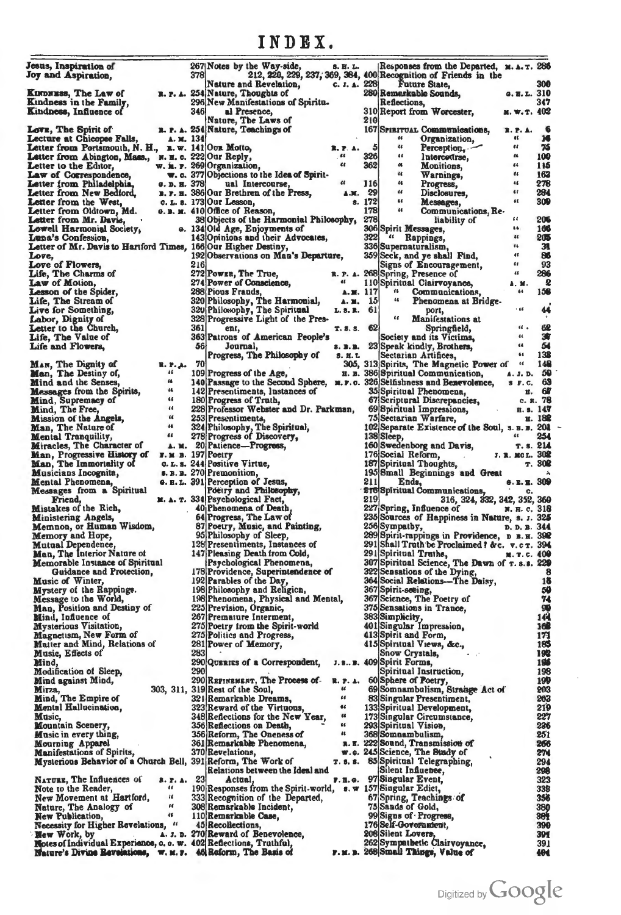| Jesus, Inspiration of<br>Joy and Aspiration,                                         |                                           | 378 | 267 Notes by the Way-side,                                                | S. H. L.                |                   | Responses from the Departed, M.A.T. 286<br>212, 220, 229, 237, 369, 384, 400 Recognition of Friends in the |                      |                   |
|--------------------------------------------------------------------------------------|-------------------------------------------|-----|---------------------------------------------------------------------------|-------------------------|-------------------|------------------------------------------------------------------------------------------------------------|----------------------|-------------------|
|                                                                                      |                                           |     | Nature and Revelation,                                                    | C. J. A. $228$          |                   | Future State,                                                                                              |                      | 300               |
| <b>KINDNESS, The Law of</b>                                                          |                                           |     | R. P. A. 254 Nature, Thoughts of                                          |                         |                   | 280 Remarkable Sounds,                                                                                     | 9.8. L. 310          |                   |
| Kindness in the Family,                                                              |                                           |     | 296 New Manifestations of Spiritu.                                        |                         |                   | Reflections,                                                                                               |                      | 347               |
| Kindness, Influence of                                                               |                                           | 346 | al Presence,                                                              |                         |                   | 310 Report from Worcester,                                                                                 | M. W. T. 402         |                   |
|                                                                                      |                                           |     | Nature, The Laws of                                                       |                         | 210               |                                                                                                            |                      |                   |
| Love, The Spirit of                                                                  |                                           |     | n. r. A. 254 Nature, Teachings of                                         |                         |                   | 167 SPIRITUAL Communications,                                                                              | <b>R. P. A.</b>      |                   |
| Lecture at Chicopee Falls,                                                           | А. м. 134                                 |     |                                                                           |                         |                   | 66<br>Organization,                                                                                        | ĸ<br>66              | 16                |
| Letter from Portsmouth, N. H., n. w. 141 Our Motto,                                  |                                           |     |                                                                           | R. P. A.<br>.44         | $\sqrt{5}$<br>326 | 66<br>Perception<br>66                                                                                     | 66                   | 76<br>100         |
| Letter from Abington, Mass., N. H. c. 222 Our Reply,<br>Letter to the Editor,        |                                           |     | w. i. r. 269 Organization,                                                | $\epsilon$              | 362               | Intercotirse,<br>a<br><b>Monitions,</b>                                                                    | 66                   | 116               |
| Law of Correspondence,                                                               |                                           |     | w. c. 377 Objections to the Idea of Spirit-                               |                         |                   | 4<br>Warnings,                                                                                             | $^{a}$               | 163               |
| Letter from Philadelphia,                                                            |                                           |     | G. D. H. 378 ual Intercourse,                                             | $\epsilon$              | <b>116</b>        | 86<br>Progress,                                                                                            | 46                   | 278               |
| Letter from New Bediord,                                                             |                                           |     | B. P. H. 386 Our Brethren of the Press,                                   | A.M. 29                 |                   | 44<br>Disclosures,                                                                                         | $\epsilon$           | 284               |
| Letter from the West,                                                                |                                           |     | o. L. s. 173 Our Lesson,                                                  |                         | s. 172            | 66<br>Messages,                                                                                            | 46                   | 300               |
| Letter from Oldtown, Md.                                                             |                                           |     | $\theta$ . B. M. 410 Office of Reason.                                    |                         | 178               | $\epsilon\epsilon$<br>Communications, Re-                                                                  |                      |                   |
| Letter from Mr. Davis,                                                               |                                           |     | 38 Objects of the Harmonial Philosophy,                                   |                         | 278               | liability of                                                                                               | 66                   | 206               |
| Lowell Harmonial Society,                                                            |                                           |     | e. 134 Old Age, Enjoyments of                                             |                         |                   | 306 Spirit Messages,                                                                                       | 46.<br>$^{16}$       | 166               |
| Luna's Confession,<br>Letter of Mr. Davis to Hartford Times, 166 Our Higher Destiny, |                                           |     | 143 Opinions and their Advocates,                                         |                         | 3221              | "Rappings,<br>336 Supernaturalism,                                                                         | 86                   | 205<br>31         |
| Love,                                                                                |                                           |     | 192 Observations on Man's Departure,                                      |                         |                   | 359 Seek, and ye shall Find,                                                                               | $\bullet$            | 86                |
| Love of Flowers,                                                                     |                                           | 216 |                                                                           |                         |                   | Signs of Encouragement,                                                                                    | $\epsilon$           | 93                |
| Life, The Charms of                                                                  |                                           |     | 272 Powzu, The True,                                                      |                         |                   | R. P. A. 268 Spring, Presence of                                                                           | $\epsilon$           | 286               |
| Law of Motion,                                                                       |                                           |     | 274 Power of Conscience,                                                  | $\bullet$               |                   | 110 Spiritual Clairvoyance,                                                                                | A. M.                | $\mathbf{Q}$      |
| <b>Lesson of the Spider,</b>                                                         |                                           |     | 288 Pious Frauds,                                                         | A. 21. 117              |                   | <b>B</b> 1<br>Communications,                                                                              | 66                   | 158               |
| Life, The Stream of                                                                  |                                           |     | 320 Philosophy, The Harmonial,                                            | $\lambda$ . M. 15       |                   | 66<br>Phenomena at Bridge.                                                                                 |                      |                   |
| Live for Something,                                                                  |                                           |     | 320 Philosophy, The Spiritual                                             | L. 8. R. 61             |                   | port,                                                                                                      | $+66$                | 44                |
| Labor, Dignity of                                                                    |                                           |     | 328 Progressive Light of the Pres-                                        |                         |                   | $\epsilon$<br>Manifestations at                                                                            | 46.4                 |                   |
| Letter to the Church,                                                                |                                           | 361 | ent,                                                                      | T.8.5.62                |                   | Springfield,                                                                                               | $\ddot{\phantom{a}}$ | 62<br>演           |
| Life, The Value of<br>Life and Flowers,                                              |                                           | 36  | 363 Patrons of American People's<br>Journal,                              | 8. B. B.                |                   | Society and its Victims,<br>23 Speak kindly, Brothers,                                                     | 66                   | 54                |
|                                                                                      |                                           |     | Progress, The Philosophy of                                               | <b>S. H. L.</b>         |                   | Sectarian Artifices,                                                                                       | 66                   | 138               |
| MAN, The Dignity of                                                                  | <b>R. P. A.</b>                           | 70  |                                                                           |                         |                   | 305, 313 Spirits, The Magnetic Power of                                                                    | $\epsilon\epsilon$   | 148               |
| Man, The Destiny of,                                                                 | 11                                        |     | 109 Progress of the Age,                                                  |                         |                   | H. B. 386 Spiritual Communication,                                                                         | A. J. D.             | 50                |
| Mind and the Senses,                                                                 | $^{14}$                                   |     | 140 Passage to the Second Sphere, w.r.o. 326 Seifishness and Benevolence, |                         |                   |                                                                                                            | <b>S</b> F.C.        | 63                |
| <b>Messages</b> from the Spirits,                                                    | 66                                        |     | 142 Presentiments, Instances of                                           |                         |                   | 35 Spiritual Phenomena,                                                                                    |                      | H. 67             |
| Mind, Supremacy of                                                                   | 66                                        |     | 180 Progress of Truth,                                                    |                         |                   | 67 Scriptural Discrepancies,                                                                               |                      | c. R. 78          |
| Mind, The Free,                                                                      | 66                                        |     | 228 Professor Webster and Dr. Parkman,                                    |                         |                   | 69 Spiritual Impressions,                                                                                  | <b>B.S. 147</b>      |                   |
| <b>Mission of the Angels,</b>                                                        | $\alpha$<br>$^{14}$                       |     | 253 Presentiments,                                                        |                         |                   | 75 Sectarian Warfare,                                                                                      |                      | H. 182            |
| Man, The Nature of                                                                   | 66                                        |     | 324 Philosophy, The Spiritual,<br>278 Progress of Discovery,              |                         |                   | 102 Separate Existence of the Soul, s. B. B. 201<br>138 Sleep,                                             |                      | 254               |
| <b>Mental Tranquility,</b><br>Miracles, The Character of                             |                                           |     | A. M. 20 Patience-Progress,                                               |                         |                   | 160 Swedenborg and Davis,                                                                                  | T. S. 214            |                   |
| Man, Progressive History of                                                          | $\mathbf{r}$ . $\mathbf{M}$ B. 197 Poetry |     |                                                                           |                         |                   | 176 Social Reform,<br><b>Contractor</b>                                                                    | л. в. мод. 302       |                   |
| Man, The Immortality of                                                              |                                           |     | c. L. s. 244 Positive Virtue,                                             |                         |                   | 187 Spiritual Thoughts,                                                                                    |                      | T.30 <sup>2</sup> |
| Musicians Incognita,                                                                 |                                           |     | s. B. B. 270 Premonition,                                                 |                         |                   | 195 Small Beginnings and Great                                                                             |                      |                   |
| Mental Phenomena,                                                                    |                                           |     | <b>e. E. L. 391 Perception of Jesus,</b>                                  |                         | 211               | Ends,                                                                                                      | <b>S.E.E. 309</b>    |                   |
| Messages from a Spiritual                                                            |                                           |     | Poetry and Philosophy,<br>M. A. T. 334 Psychological Fact,                |                         | 219               | <b>218 Spiritual Communications,</b>                                                                       | c.                   |                   |
| Friend,<br>Mistakes of the Rich,                                                     |                                           |     | 40 Phenomena of Death,                                                    |                         |                   | 316, 324, 332, 342, 352, 360<br>227 Spring, Influence of                                                   | и. н. с. 318         |                   |
| Ministering Angels,                                                                  |                                           |     | 64 Progress, The Law of                                                   |                         |                   | 235 Sources of Happiness in Nature, s. J. 325                                                              |                      |                   |
| Memnon, or Human Wisdom,                                                             |                                           |     | 87 Poetry, Music, and Painting,                                           |                         |                   | 256 Sympathy,                                                                                              | D. D. B. 344         |                   |
| Memory and Hope,                                                                     |                                           |     | 95 Philosophy of Sleep,                                                   |                         |                   | 289 Spirit-rappings in Providence, D B. H. 398                                                             |                      |                   |
| Mutual Dependence,                                                                   |                                           |     | 128 Presentiments, Instances of                                           |                         |                   | 291 Shall Truth be Proclaimed ? &c. v.c r. 394                                                             |                      |                   |
| Man, The Interior Nature of                                                          |                                           |     | 147 Pleasing Death from Cold,                                             |                         |                   | 291 Spiritual Truths,                                                                                      | н. т. с. 400         |                   |
| <b>Memorable Instance of Spiritual</b><br>Guidance and Protection.                   |                                           |     | Psychological Phenomena,<br>178 Providence, Superintendence of            |                         |                   | 307 Spiritual Science, The Dawn of r. s.s. 229<br>322 Sensations of the Dying,                             |                      | 8                 |
| Music of Winter,                                                                     |                                           |     | 192 Parables of the Day,                                                  |                         |                   | 364 Social Relations-The Daisy,                                                                            |                      | 15                |
| Mystery of the Rappings.                                                             |                                           |     | 198 Philosophy and Religion,                                              |                         |                   | 367 Spirit-seeing,                                                                                         |                      | 50                |
| Message to the World,                                                                |                                           |     | 198 Phenomena, Physical and Mental,                                       |                         |                   | 367 Science, The Poetry of                                                                                 |                      | 74                |
| Man, Position and Destiny of                                                         |                                           |     | 225 Prevision, Organic,                                                   |                         |                   | 375 Sensations in Trance,                                                                                  |                      | 90                |
| Mind, Influence of                                                                   |                                           |     | 267 Premature Interment,                                                  |                         |                   | 383 Simplicity,                                                                                            |                      | 14                |
| Mysterious Visitation,                                                               |                                           |     | 275 Poetry from the Spirit-world                                          |                         |                   | 401 Singular Impression,                                                                                   |                      | 16                |
| Magnetism, New Form of                                                               |                                           |     | 275 Politics and Progress,                                                |                         |                   | 413 Spirit and Form,                                                                                       |                      | 171               |
| Matter and Mind, Relations of<br>Music, Effects of                                   |                                           | 283 | 281 Power of Memory,                                                      |                         |                   | 415 Spiritual Views, &c.,<br>Snow Crystals,                                                                |                      | 185<br>192        |
| Mind,                                                                                |                                           |     | 290 QUERIES of a Correspondent,                                           |                         |                   | J. s., B. 409 Spirit Forms,                                                                                |                      | 196               |
| Modification of Sleep,                                                               |                                           | 290 |                                                                           |                         |                   | Spiritual Instruction,                                                                                     |                      | 198               |
| Mind against Mind,                                                                   |                                           |     | 290 REPINEMENT, The Process of-                                           |                         |                   | R. P. A. 60 Sphere of Poetry,                                                                              |                      | 190               |
| Mirza,                                                                               |                                           |     | 303, 311, 319 Rest of the Soul,                                           | $\overline{\mathbf{a}}$ |                   | 69 Somnambulism, Strange Act of                                                                            |                      | 503               |
| Mind, The Empire of                                                                  |                                           |     | 321 Remarkable Dreams,                                                    | 66                      |                   | 83 Singular Presentiment,                                                                                  |                      | 203               |
| Mental Hallucination,                                                                |                                           |     | 323 Reward of the Virtuous,                                               | 66                      |                   | 133 Spiritual Development,                                                                                 |                      | 219               |
| Music,                                                                               |                                           |     | 348 Reflections for the New Year,                                         | 66<br>44                |                   | 173 Singular Circumstance,                                                                                 |                      | 227               |
| <b>Mountain Scenery,</b>                                                             |                                           |     | 356 Reflections on Death,                                                 | u                       |                   | 293 Spiritual Vision,                                                                                      |                      | 236<br>251        |
| <b>Music in every thing,</b><br>Mourning Apparel                                     |                                           |     | 356 Reform, The Oneness of<br>361 Remarkable Phenomena,                   |                         |                   | 368 Somnambulism,<br>R. E. 222 Sound, Transmission of                                                      |                      | 266               |
| <b>Manifestations of Spirits,</b>                                                    |                                           |     | 370 Revelations,                                                          |                         |                   | w.c. 245 Science, The Bundy of                                                                             |                      | 274               |
| Mysterious Behavior of a Church Bell, 391 Reform, The Work of                        |                                           |     |                                                                           |                         |                   | T. s. s. 85 Spiritual Telegraphing,                                                                        |                      | 294               |
|                                                                                      |                                           |     | Relations between the Ideal and                                           |                         |                   | Silent Influence,                                                                                          |                      | 298               |
| NATURE, The Influences of                                                            | <b>R. P. A.</b>                           | 23  | Actual,                                                                   |                         |                   | г. н. е. 97 Singular Event,                                                                                |                      | 323               |
| Note to the Reader,                                                                  | 86                                        |     | 190 Responses from the Spirit-world,                                      |                         |                   | s. w 157 Singular Edict,                                                                                   |                      | 338               |
| New Movement at Hartford,                                                            | $\mathcal{U}$<br>n                        |     | 333 Recognition of the Departed,                                          |                         |                   | 67 Spring, Teachings of                                                                                    |                      | 356               |
| Nature, The Analogy of<br>New Publication,                                           | 46                                        |     | 308 Remarkable Incident,<br>110 Remarkable Case,                          |                         |                   | 75 Sands of Gold,<br>99 Signs of Progress,                                                                 |                      | $\frac{380}{301}$ |
| Necessity for Higher Revelations, "                                                  |                                           |     | 45 Recollections,                                                         |                         |                   | 176 Self-Government,                                                                                       |                      | 390               |
| <b>Hew Work, by</b>                                                                  |                                           |     | A. J. D. 270 Reward of Benevolence,                                       |                         |                   | 208 Silent Lovers,                                                                                         |                      | 391               |
| Motes of Individual Experience, c. c. w. 402 Reflections, Truthful,                  |                                           |     |                                                                           |                         |                   | 262 Sympathetic Clairvoyance,                                                                              |                      | 391               |
| Nature's Divine Revelations, w. M. r. 46 Reform, The Basis of                        |                                           |     |                                                                           |                         |                   | r. m. n. 268 Small Things, Value of                                                                        |                      | 401               |